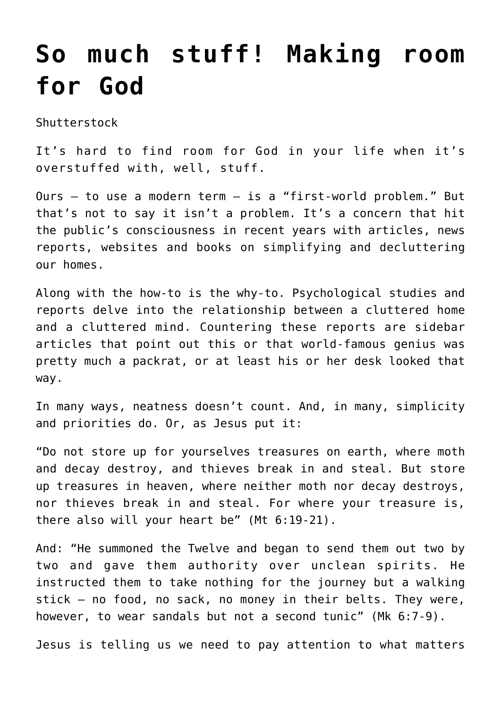## **[So much stuff! Making room](https://www.osvnews.com/2018/11/15/so-much-stuff-making-room-for-god/) [for God](https://www.osvnews.com/2018/11/15/so-much-stuff-making-room-for-god/)**

Shutterstock

It's hard to find room for God in your life when it's overstuffed with, well, stuff.

Ours — to use a modern term — is a "first-world problem." But that's not to say it isn't a problem. It's a concern that hit the public's consciousness in recent years with articles, news reports, websites and books on simplifying and decluttering our homes.

Along with the how-to is the why-to. Psychological studies and reports delve into the relationship between a cluttered home and a cluttered mind. Countering these reports are sidebar articles that point out this or that world-famous genius was pretty much a packrat, or at least his or her desk looked that way.

In many ways, neatness doesn't count. And, in many, simplicity and priorities do. Or, as Jesus put it:

"Do not store up for yourselves treasures on earth, where moth and decay destroy, and thieves break in and steal. But store up treasures in heaven, where neither moth nor decay destroys, nor thieves break in and steal. For where your treasure is, there also will your heart be" (Mt 6:19-21).

And: "He summoned the Twelve and began to send them out two by two and gave them authority over unclean spirits. He instructed them to take nothing for the journey but a walking stick — no food, no sack, no money in their belts. They were, however, to wear sandals but not a second tunic" (Mk 6:7-9).

Jesus is telling us we need to pay attention to what matters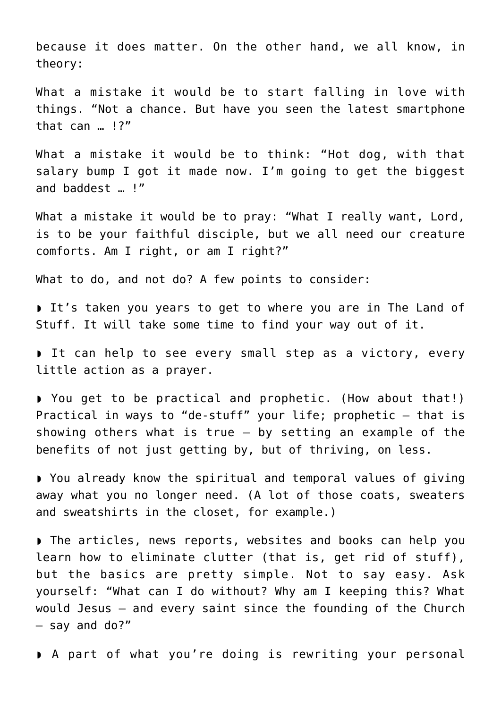because it does matter. On the other hand, we all know, in theory:

What a mistake it would be to start falling in love with things. "Not a chance. But have you seen the latest smartphone that can … !?"

What a mistake it would be to think: "Hot dog, with that salary bump I got it made now. I'm going to get the biggest and baddest … !"

What a mistake it would be to pray: "What I really want, Lord, is to be your faithful disciple, but we all need our creature comforts. Am I right, or am I right?"

What to do, and not do? A few points to consider:

◗ It's taken you years to get to where you are in The Land of Stuff. It will take some time to find your way out of it.

◗ It can help to see every small step as a victory, every little action as a prayer.

◗ You get to be practical and prophetic. (How about that!) Practical in ways to "de-stuff" your life; prophetic — that is showing others what is true — by setting an example of the benefits of not just getting by, but of thriving, on less.

◗ You already know the spiritual and temporal values of giving away what you no longer need. (A lot of those coats, sweaters and sweatshirts in the closet, for example.)

◗ The articles, news reports, websites and books can help you learn how to eliminate clutter (that is, get rid of stuff), but the basics are pretty simple. Not to say easy. Ask yourself: "What can I do without? Why am I keeping this? What would Jesus — and every saint since the founding of the Church — say and do?"

◗ A part of what you're doing is rewriting your personal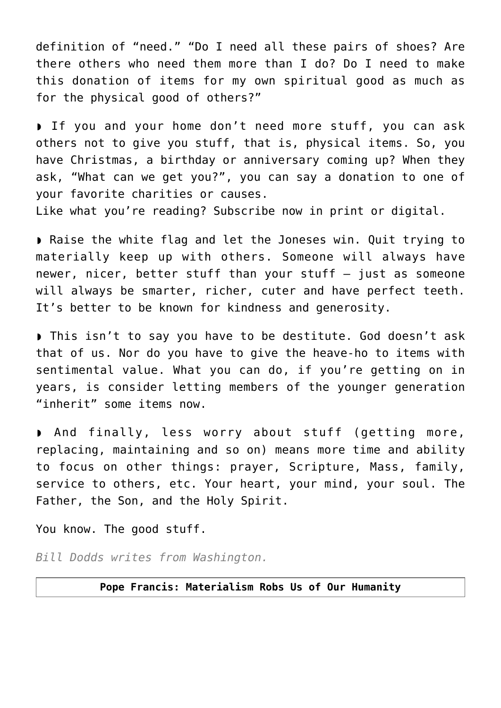definition of "need." "Do I need all these pairs of shoes? Are there others who need them more than I do? Do I need to make this donation of items for my own spiritual good as much as for the physical good of others?"

◗ If you and your home don't need more stuff, you can ask others not to give you stuff, that is, physical items. So, you have Christmas, a birthday or anniversary coming up? When they ask, "What can we get you?", you can say a donation to one of your favorite charities or causes.

Like what you're reading? Subscribe now in print or digital.

◗ Raise the white flag and let the Joneses win. Quit trying to materially keep up with others. Someone will always have newer, nicer, better stuff than your stuff  $-$  just as someone will always be smarter, richer, cuter and have perfect teeth. It's better to be known for kindness and generosity.

◗ This isn't to say you have to be destitute. God doesn't ask that of us. Nor do you have to give the heave-ho to items with sentimental value. What you can do, if you're getting on in years, is consider letting members of the younger generation "inherit" some items now.

◗ And finally, less worry about stuff (getting more, replacing, maintaining and so on) means more time and ability to focus on other things: prayer, Scripture, Mass, family, service to others, etc. Your heart, your mind, your soul. The Father, the Son, and the Holy Spirit.

You know. The good stuff.

*Bill Dodds writes from Washington.*

## **Pope Francis: Materialism Robs Us of Our Humanity**